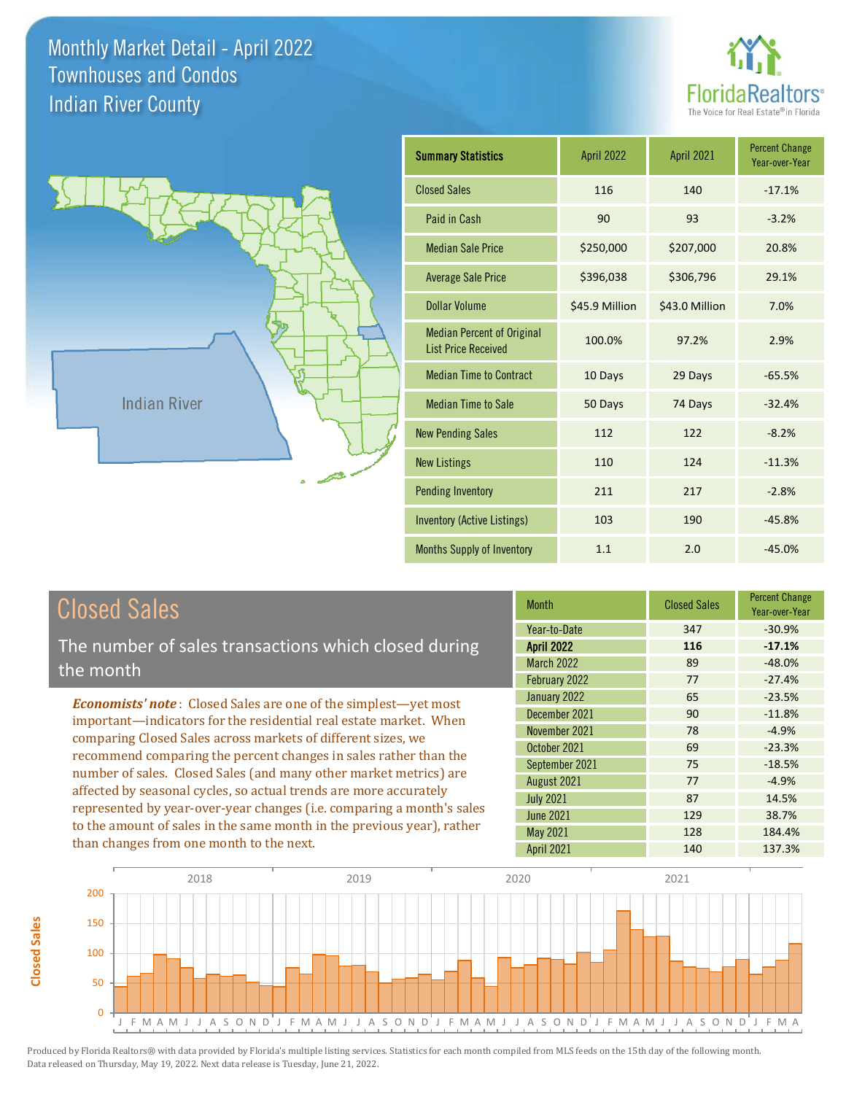



| <b>Summary Statistics</b>                                       | <b>April 2022</b> | <b>April 2021</b> | <b>Percent Change</b><br>Year-over-Year |
|-----------------------------------------------------------------|-------------------|-------------------|-----------------------------------------|
| <b>Closed Sales</b>                                             | 116               | 140               | $-17.1%$                                |
| Paid in Cash                                                    | 90                | 93                | $-3.2%$                                 |
| <b>Median Sale Price</b>                                        | \$250,000         | \$207,000         | 20.8%                                   |
| <b>Average Sale Price</b>                                       | \$396,038         | \$306,796         | 29.1%                                   |
| <b>Dollar Volume</b>                                            | \$45.9 Million    | \$43.0 Million    | 7.0%                                    |
| <b>Median Percent of Original</b><br><b>List Price Received</b> | 100.0%            | 97.2%             | 2.9%                                    |
| <b>Median Time to Contract</b>                                  | 10 Days           | 29 Days           | $-65.5%$                                |
| <b>Median Time to Sale</b>                                      | 50 Days           | 74 Days           | $-32.4%$                                |
| <b>New Pending Sales</b>                                        | 112               | 122               | $-8.2%$                                 |
| <b>New Listings</b>                                             | 110               | 124               | $-11.3%$                                |
| Pending Inventory                                               | 211               | 217               | $-2.8%$                                 |
| <b>Inventory (Active Listings)</b>                              | 103               | 190               | $-45.8%$                                |
| <b>Months Supply of Inventory</b>                               | 1.1               | 2.0               | $-45.0%$                                |

# Closed Sales

The number of sales transactions which closed during the month

*Economists' note* : Closed Sales are one of the simplest—yet most important—indicators for the residential real estate market. When comparing Closed Sales across markets of different sizes, we recommend comparing the percent changes in sales rather than the number of sales. Closed Sales (and many other market metrics) are affected by seasonal cycles, so actual trends are more accurately represented by year-over-year changes (i.e. comparing a month's sales to the amount of sales in the same month in the previous year), rather than changes from one month to the next.

| <b>Month</b>      | <b>Closed Sales</b> | <b>Percent Change</b><br>Year-over-Year |
|-------------------|---------------------|-----------------------------------------|
| Year-to-Date      | 347                 | $-30.9%$                                |
| <b>April 2022</b> | 116                 | $-17.1%$                                |
| <b>March 2022</b> | 89                  | $-48.0%$                                |
| February 2022     | 77                  | $-27.4%$                                |
| January 2022      | 65                  | $-23.5%$                                |
| December 2021     | 90                  | $-11.8%$                                |
| November 2021     | 78                  | $-4.9%$                                 |
| October 2021      | 69                  | $-23.3%$                                |
| September 2021    | 75                  | $-18.5%$                                |
| August 2021       | 77                  | $-4.9%$                                 |
| <b>July 2021</b>  | 87                  | 14.5%                                   |
| <b>June 2021</b>  | 129                 | 38.7%                                   |
| May 2021          | 128                 | 184.4%                                  |
| April 2021        | 140                 | 137.3%                                  |

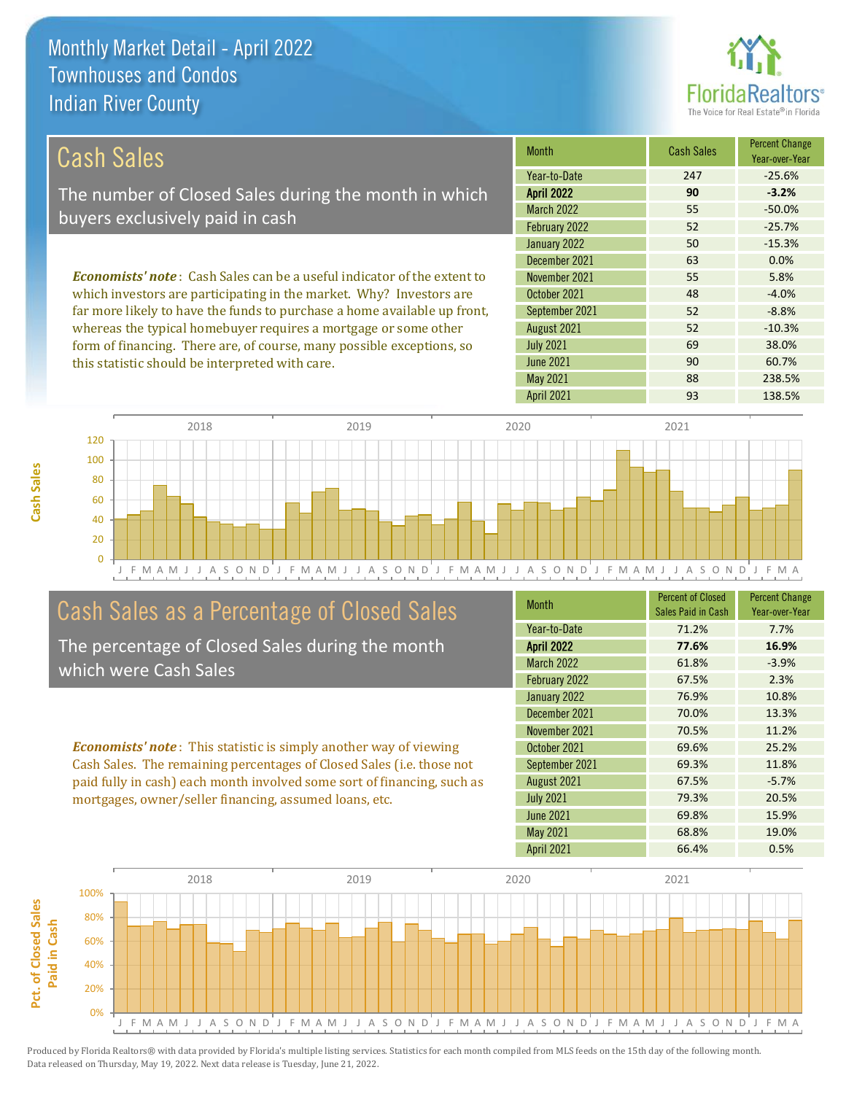this statistic should be interpreted with care.



90 60.7%

| Cash Sales                                                                     | <b>Month</b>      | <b>Cash Sales</b> | <b>Percent Change</b><br>Year-over-Year |
|--------------------------------------------------------------------------------|-------------------|-------------------|-----------------------------------------|
|                                                                                | Year-to-Date      | 247               | $-25.6%$                                |
| The number of Closed Sales during the month in which                           | <b>April 2022</b> | 90                | $-3.2%$                                 |
| buyers exclusively paid in cash                                                | <b>March 2022</b> | 55                | $-50.0%$                                |
|                                                                                | February 2022     | 52                | $-25.7%$                                |
|                                                                                | January 2022      | 50                | $-15.3%$                                |
|                                                                                | December 2021     | 63                | 0.0%                                    |
| <b>Economists' note:</b> Cash Sales can be a useful indicator of the extent to | November 2021     | 55                | 5.8%                                    |
| which investors are participating in the market. Why? Investors are            | October 2021      | 48                | $-4.0%$                                 |
| far more likely to have the funds to purchase a home available up front,       | September 2021    | 52                | $-8.8%$                                 |
| whereas the typical homebuyer requires a mortgage or some other                | August 2021       | 52                | $-10.3%$                                |
| form of financing. There are, of course, many possible exceptions, so          | <b>July 2021</b>  | 69                | 38.0%                                   |

J F M A M J J A S O N D J F M A M J J A S O N D J F M A M J J A S O N D J F M A M J J A S O N D J F M A 0 20 40 60 80 100 120 2018 2019 2020 2021

## Cash Sales as a Percentage of Closed Sales

The percentage of Closed Sales during the month which were Cash Sales

*Economists' note* : This statistic is simply another way of viewing Cash Sales. The remaining percentages of Closed Sales (i.e. those not paid fully in cash) each month involved some sort of financing, such as mortgages, owner/seller financing, assumed loans, etc.

| <b>Month</b>      | <b>Percent of Closed</b><br>Sales Paid in Cash | <b>Percent Change</b><br>Year-over-Year |
|-------------------|------------------------------------------------|-----------------------------------------|
| Year-to-Date      | 71.2%                                          | 7.7%                                    |
| <b>April 2022</b> | 77.6%                                          | 16.9%                                   |
| <b>March 2022</b> | 61.8%                                          | $-3.9%$                                 |
| February 2022     | 67.5%                                          | 2.3%                                    |
| January 2022      | 76.9%                                          | 10.8%                                   |
| December 2021     | 70.0%                                          | 13.3%                                   |
| November 2021     | 70.5%                                          | 11.2%                                   |
| October 2021      | 69.6%                                          | 25.2%                                   |
| September 2021    | 69.3%                                          | 11.8%                                   |
| August 2021       | 67.5%                                          | $-5.7%$                                 |
| <b>July 2021</b>  | 79.3%                                          | 20.5%                                   |
| <b>June 2021</b>  | 69.8%                                          | 15.9%                                   |
| May 2021          | 68.8%                                          | 19.0%                                   |
| April 2021        | 66.4%                                          | 0.5%                                    |

May 2021 88 238.5%

June 2021

April 2021 **93** 138.5%

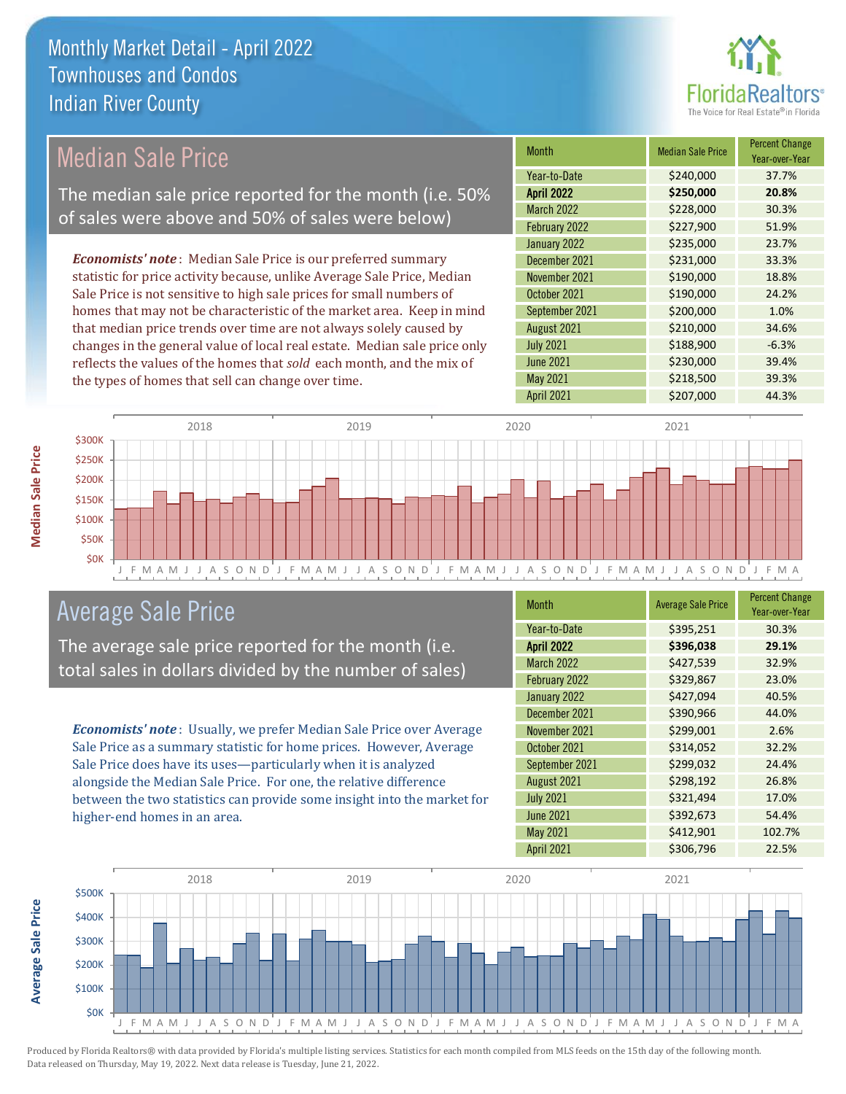

#### *Economists' note* : Median Sale Price is our preferred summary statistic for price activity because, unlike Average Sale Price, Median Sale Price is not sensitive to high sale prices for small numbers of homes that may not be characteristic of the market area. Keep in mind that median price trends over time are not always solely caused by changes in the general value of local real estate. Median sale price only reflects the values of the homes that *sold* each month, and the mix of the types of homes that sell can change over time. April 2021 **\$207,000** 44.3% June 2021 **\$230,000** \$230,000 May 2021 **39.3%** \$218,500 39.3% August 2021 **\$210,000** 34.6%  $July 2021$   $$188,900$   $-6.3%$ \$235,000 23.7% December 2021 **\$231,000** 33.3% September 2021 \$200,000 1.0% March 2022 \$228,000 30.3% February 2022 \$227,900 51.9% November 2021 **\$190,000** 18.8% October 2021 **\$190,000** 24.2% January 2022 Month Median Sale Price Percent Change Year-over-Year April 2022 **\$250,000 20.8%** Year-to-Date \$240,000 37.7% Median Sale Price The median sale price reported for the month (i.e. 50% of sales were above and 50% of sales were below)



# Average Sale Price

The average sale price reported for the month (i.e. total sales in dollars divided by the number of sales)

*Economists' note* : Usually, we prefer Median Sale Price over Average Sale Price as a summary statistic for home prices. However, Average Sale Price does have its uses—particularly when it is analyzed alongside the Median Sale Price. For one, the relative difference between the two statistics can provide some insight into the market for higher-end homes in an area.

| Month             | <b>Average Sale Price</b> | <b>Percent Change</b><br>Year-over-Year |
|-------------------|---------------------------|-----------------------------------------|
| Year-to-Date      | \$395,251                 | 30.3%                                   |
| <b>April 2022</b> | \$396,038                 | 29.1%                                   |
| March 2022        | \$427,539                 | 32.9%                                   |
| February 2022     | \$329,867                 | 23.0%                                   |
| January 2022      | \$427,094                 | 40.5%                                   |
| December 2021     | \$390,966                 | 44.0%                                   |
| November 2021     | \$299,001                 | 2.6%                                    |
| October 2021      | \$314,052                 | 32.2%                                   |
| September 2021    | \$299,032                 | 24.4%                                   |
| August 2021       | \$298,192                 | 26.8%                                   |
| <b>July 2021</b>  | \$321,494                 | 17.0%                                   |
| <b>June 2021</b>  | \$392,673                 | 54.4%                                   |
| May 2021          | \$412,901                 | 102.7%                                  |
| April 2021        | \$306,796                 | 22.5%                                   |



Produced by Florida Realtors® with data provided by Florida's multiple listing services. Statistics for each month compiled from MLS feeds on the 15th day of the following month. Data released on Thursday, May 19, 2022. Next data release is Tuesday, June 21, 2022.

**Average Sale Price**

**Average Sale Price**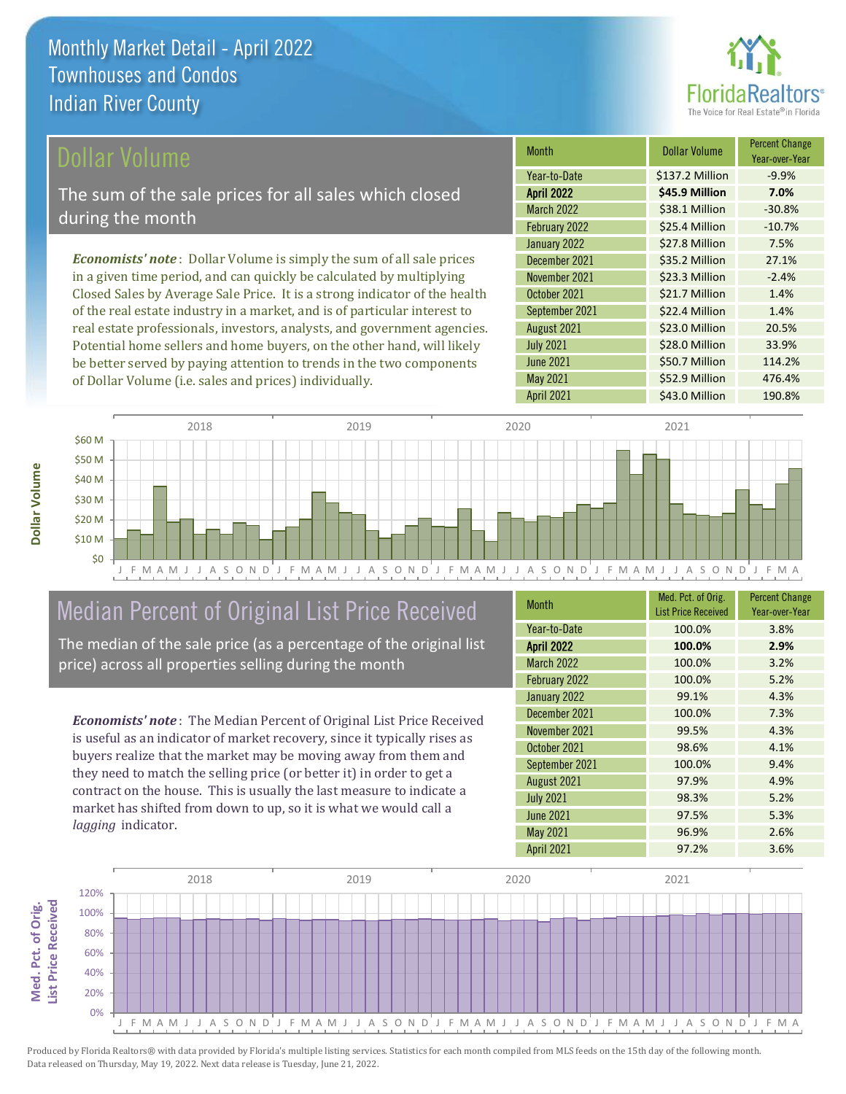

#### Dollar Volume

The sum of the sale prices for all sales which closed during the month

*Economists' note* : Dollar Volume is simply the sum of all sale prices in a given time period, and can quickly be calculated by multiplying Closed Sales by Average Sale Price. It is a strong indicator of the health of the real estate industry in a market, and is of particular interest to real estate professionals, investors, analysts, and government agencies. Potential home sellers and home buyers, on the other hand, will likely be better served by paying attention to trends in the two components of Dollar Volume (i.e. sales and prices) individually.

| Month             | Dollar Volume   | <b>Percent Change</b><br>Year-over-Year |
|-------------------|-----------------|-----------------------------------------|
| Year-to-Date      | \$137.2 Million | $-9.9%$                                 |
| <b>April 2022</b> | \$45.9 Million  | 7.0%                                    |
| <b>March 2022</b> | \$38.1 Million  | $-30.8%$                                |
| February 2022     | \$25.4 Million  | $-10.7%$                                |
| January 2022      | \$27.8 Million  | 7.5%                                    |
| December 2021     | \$35.2 Million  | 27.1%                                   |
| November 2021     | \$23.3 Million  | $-2.4%$                                 |
| October 2021      | \$21.7 Million  | 1.4%                                    |
| September 2021    | \$22.4 Million  | 1.4%                                    |
| August 2021       | \$23.0 Million  | 20.5%                                   |
| <b>July 2021</b>  | \$28.0 Million  | 33.9%                                   |
| <b>June 2021</b>  | \$50.7 Million  | 114.2%                                  |
| May 2021          | \$52.9 Million  | 476.4%                                  |
| <b>April 2021</b> | \$43.0 Million  | 190.8%                                  |



# Median Percent of Original List Price Received

The median of the sale price (as a percentage of the original list price) across all properties selling during the month

*Economists' note* : The Median Percent of Original List Price Received is useful as an indicator of market recovery, since it typically rises as buyers realize that the market may be moving away from them and they need to match the selling price (or better it) in order to get a contract on the house. This is usually the last measure to indicate a market has shifted from down to up, so it is what we would call a *lagging* indicator.

| Month             | Med. Pct. of Orig.<br><b>List Price Received</b> | <b>Percent Change</b><br>Year-over-Year |
|-------------------|--------------------------------------------------|-----------------------------------------|
| Year-to-Date      | 100.0%                                           | 3.8%                                    |
| <b>April 2022</b> | 100.0%                                           | 2.9%                                    |
| <b>March 2022</b> | 100.0%                                           | 3.2%                                    |
| February 2022     | 100.0%                                           | 5.2%                                    |
| January 2022      | 99.1%                                            | 4.3%                                    |
| December 2021     | 100.0%                                           | 7.3%                                    |
| November 2021     | 99.5%                                            | 4.3%                                    |
| October 2021      | 98.6%                                            | 4.1%                                    |
| September 2021    | 100.0%                                           | 9.4%                                    |
| August 2021       | 97.9%                                            | 4.9%                                    |
| <b>July 2021</b>  | 98.3%                                            | 5.2%                                    |
| <b>June 2021</b>  | 97.5%                                            | 5.3%                                    |
| May 2021          | 96.9%                                            | 2.6%                                    |
| <b>April 2021</b> | 97.2%                                            | 3.6%                                    |



Produced by Florida Realtors® with data provided by Florida's multiple listing services. Statistics for each month compiled from MLS feeds on the 15th day of the following month. Data released on Thursday, May 19, 2022. Next data release is Tuesday, June 21, 2022.

**Med. Pct. of Orig.** 

Med. Pct. of Orig.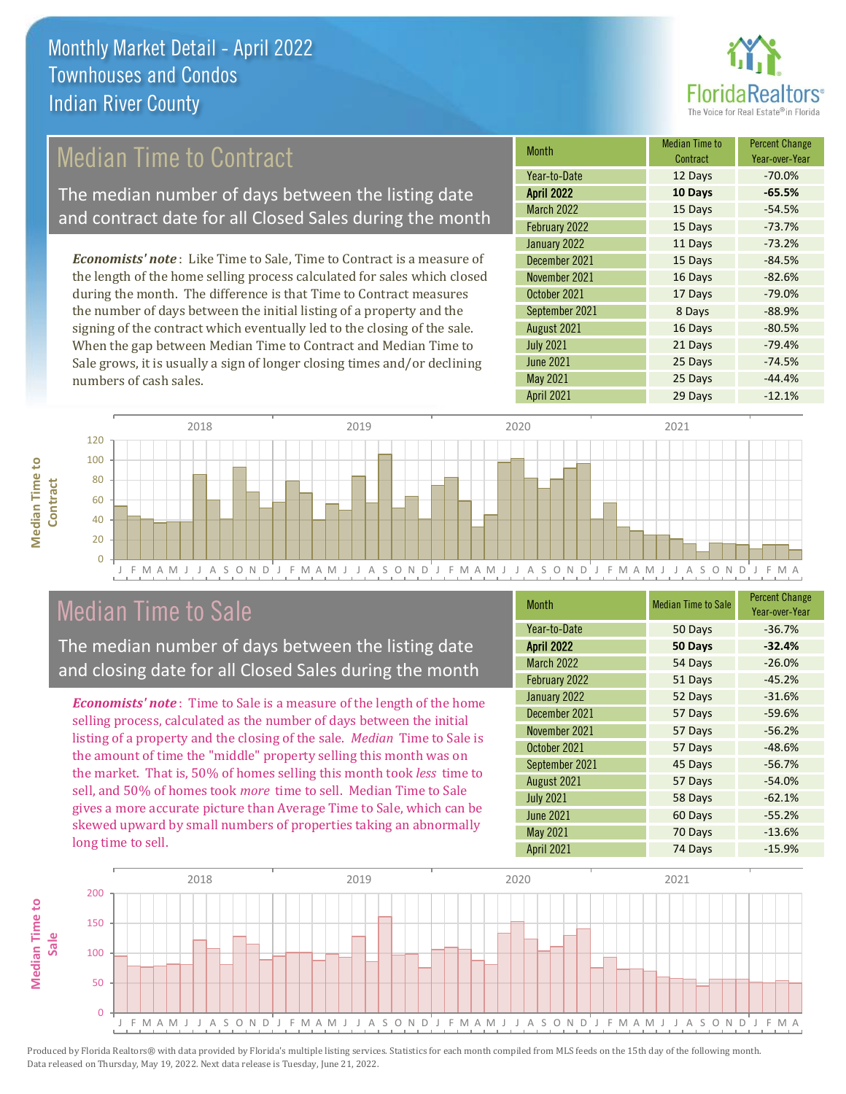

# Median Time to Contract

The median number of days between the listing date and contract date for all Closed Sales during the month

*Economists' note* : Like Time to Sale, Time to Contract is a measure of the length of the home selling process calculated for sales which closed during the month. The difference is that Time to Contract measures the number of days between the initial listing of a property and the signing of the contract which eventually led to the closing of the sale. When the gap between Median Time to Contract and Median Time to Sale grows, it is usually a sign of longer closing times and/or declining numbers of cash sales.

| <b>Month</b>      | Median Time to<br>Contract | <b>Percent Change</b><br>Year-over-Year |
|-------------------|----------------------------|-----------------------------------------|
| Year-to-Date      | 12 Days                    | $-70.0%$                                |
| <b>April 2022</b> | 10 Days                    | $-65.5%$                                |
| <b>March 2022</b> | 15 Days                    | $-54.5%$                                |
| February 2022     | 15 Days                    | $-73.7%$                                |
| January 2022      | 11 Days                    | $-73.2%$                                |
| December 2021     | 15 Days                    | $-84.5%$                                |
| November 2021     | 16 Days                    | $-82.6%$                                |
| October 2021      | 17 Days                    | $-79.0%$                                |
| September 2021    | 8 Days                     | $-88.9%$                                |
| August 2021       | 16 Days                    | $-80.5%$                                |
| <b>July 2021</b>  | 21 Days                    | $-79.4%$                                |
| <b>June 2021</b>  | 25 Days                    | $-74.5%$                                |
| May 2021          | 25 Days                    | $-44.4%$                                |
| <b>April 2021</b> | 29 Days                    | $-12.1%$                                |



### Median Time to Sale

**Median Time to** 

**Median Time to** 

The median number of days between the listing date and closing date for all Closed Sales during the month

*Economists' note* : Time to Sale is a measure of the length of the home selling process, calculated as the number of days between the initial listing of a property and the closing of the sale. *Median* Time to Sale is the amount of time the "middle" property selling this month was on the market. That is, 50% of homes selling this month took *less* time to sell, and 50% of homes took *more* time to sell. Median Time to Sale gives a more accurate picture than Average Time to Sale, which can be skewed upward by small numbers of properties taking an abnormally long time to sell.

| <b>Month</b>      | <b>Median Time to Sale</b> | <b>Percent Change</b><br>Year-over-Year |
|-------------------|----------------------------|-----------------------------------------|
| Year-to-Date      | 50 Days                    | $-36.7%$                                |
| <b>April 2022</b> | 50 Days                    | $-32.4%$                                |
| <b>March 2022</b> | 54 Days                    | $-26.0%$                                |
| February 2022     | 51 Days                    | $-45.2%$                                |
| January 2022      | 52 Days                    | $-31.6%$                                |
| December 2021     | 57 Days                    | $-59.6%$                                |
| November 2021     | 57 Days                    | $-56.2%$                                |
| October 2021      | 57 Days                    | $-48.6%$                                |
| September 2021    | 45 Days                    | $-56.7%$                                |
| August 2021       | 57 Days                    | $-54.0%$                                |
| <b>July 2021</b>  | 58 Days                    | $-62.1%$                                |
| <b>June 2021</b>  | 60 Days                    | $-55.2%$                                |
| May 2021          | 70 Days                    | $-13.6%$                                |
| <b>April 2021</b> | 74 Days                    | $-15.9%$                                |

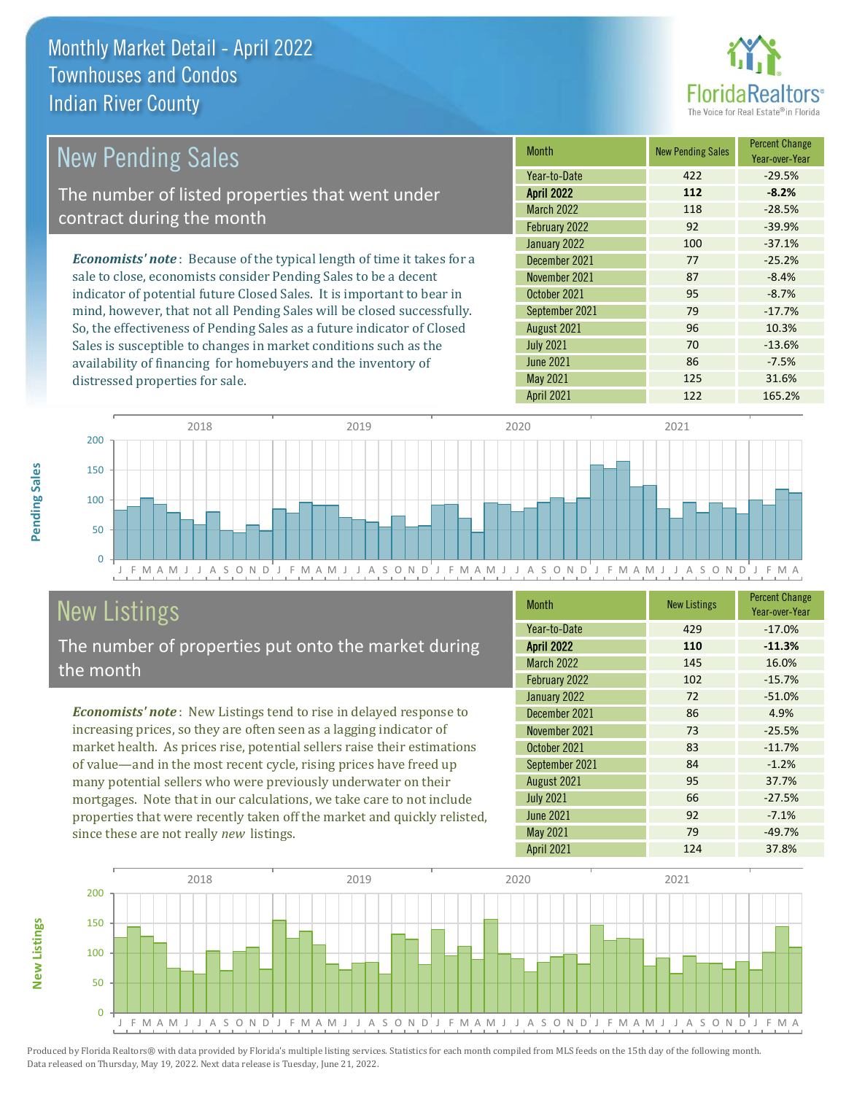distressed properties for sale.



| <b>New Pending Sales</b>                                                       | <b>Month</b>      | <b>New Pending Sales</b> | <b>Percent Change</b><br>Year-over-Year |
|--------------------------------------------------------------------------------|-------------------|--------------------------|-----------------------------------------|
|                                                                                | Year-to-Date      | 422                      | $-29.5%$                                |
| The number of listed properties that went under                                | <b>April 2022</b> | 112                      | $-8.2%$                                 |
| contract during the month                                                      | <b>March 2022</b> | 118                      | $-28.5%$                                |
|                                                                                | February 2022     | 92                       | $-39.9%$                                |
|                                                                                | January 2022      | 100                      | $-37.1%$                                |
| <b>Economists' note</b> : Because of the typical length of time it takes for a | December 2021     | 77                       | $-25.2%$                                |
| sale to close, economists consider Pending Sales to be a decent                | November 2021     | 87                       | $-8.4%$                                 |
| indicator of potential future Closed Sales. It is important to bear in         | October 2021      | 95                       | $-8.7%$                                 |
| mind, however, that not all Pending Sales will be closed successfully.         | September 2021    | 79                       | $-17.7%$                                |
| So, the effectiveness of Pending Sales as a future indicator of Closed         | August 2021       | 96                       | 10.3%                                   |
| Sales is susceptible to changes in market conditions such as the               | <b>July 2021</b>  | 70                       | $-13.6%$                                |



# New Listings

The number of properties put onto the market during the month

availability of financing for homebuyers and the inventory of

*Economists' note* : New Listings tend to rise in delayed response to increasing prices, so they are often seen as a lagging indicator of market health. As prices rise, potential sellers raise their estimations of value—and in the most recent cycle, rising prices have freed up many potential sellers who were previously underwater on their mortgages. Note that in our calculations, we take care to not include properties that were recently taken off the market and quickly relisted, since these are not really *new* listings.

| <b>Month</b>      | <b>New Listings</b> | <b>Percent Change</b><br>Year-over-Year |
|-------------------|---------------------|-----------------------------------------|
| Year-to-Date      | 429                 | $-17.0%$                                |
| <b>April 2022</b> | 110                 | $-11.3%$                                |
| <b>March 2022</b> | 145                 | 16.0%                                   |
| February 2022     | 102                 | $-15.7%$                                |
| January 2022      | 72                  | $-51.0%$                                |
| December 2021     | 86                  | 4.9%                                    |
| November 2021     | 73                  | $-25.5%$                                |
| October 2021      | 83                  | $-11.7%$                                |
| September 2021    | 84                  | $-1.2%$                                 |
| August 2021       | 95                  | 37.7%                                   |
| <b>July 2021</b>  | 66                  | $-27.5%$                                |
| <b>June 2021</b>  | 92                  | $-7.1%$                                 |
| May 2021          | 79                  | $-49.7%$                                |
| <b>April 2021</b> | 124                 | 37.8%                                   |

June 2021 **86** -7.5% May 2021 125 31.6%



Produced by Florida Realtors® with data provided by Florida's multiple listing services. Statistics for each month compiled from MLS feeds on the 15th day of the following month. Data released on Thursday, May 19, 2022. Next data release is Tuesday, June 21, 2022.

**New Listings**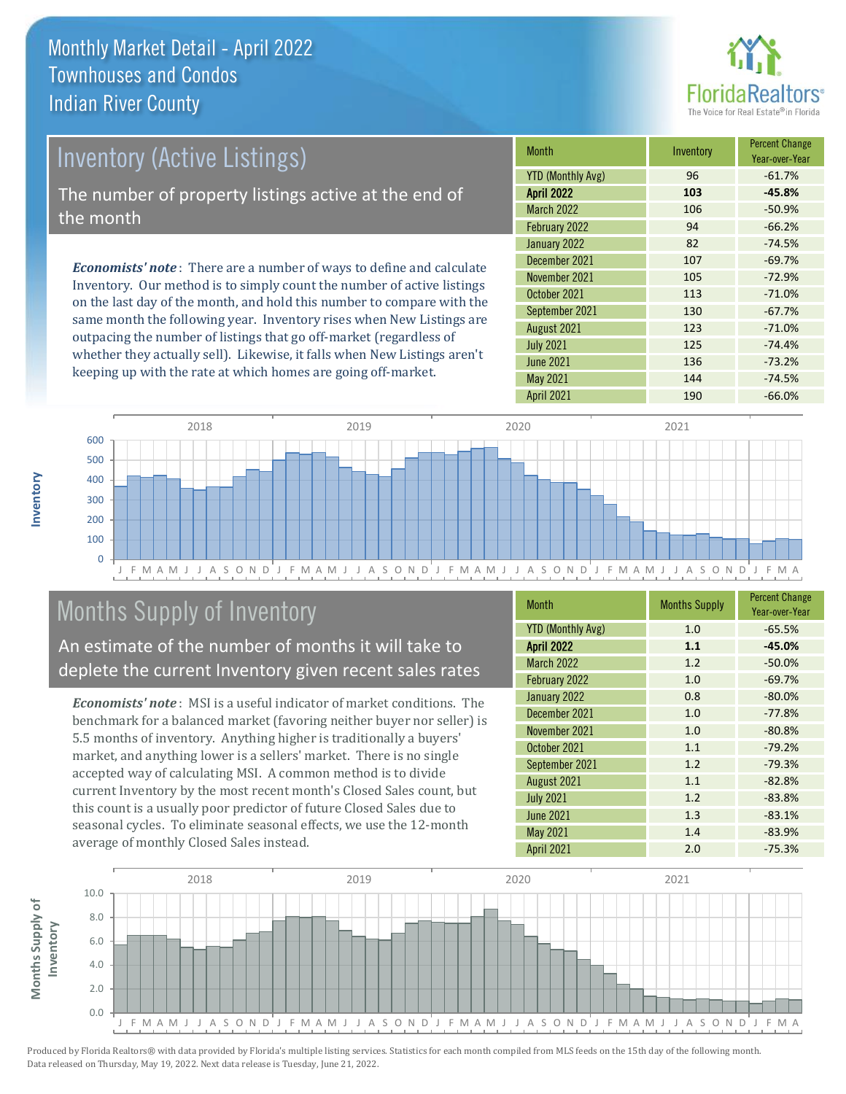

# Inventory (Active Listings) The number of property listings active at the end of the month

*Economists' note* : There are a number of ways to define and calculate Inventory. Our method is to simply count the number of active listings on the last day of the month, and hold this number to compare with the same month the following year. Inventory rises when New Listings are outpacing the number of listings that go off-market (regardless of whether they actually sell). Likewise, it falls when New Listings aren't keeping up with the rate at which homes are going off-market.

| <b>Month</b>             | Inventory | <b>Percent Change</b><br>Year-over-Year |
|--------------------------|-----------|-----------------------------------------|
| <b>YTD (Monthly Avg)</b> | 96        | $-61.7%$                                |
| <b>April 2022</b>        | 103       | $-45.8%$                                |
| <b>March 2022</b>        | 106       | $-50.9%$                                |
| February 2022            | 94        | $-66.2%$                                |
| January 2022             | 82        | $-74.5%$                                |
| December 2021            | 107       | $-69.7%$                                |
| November 2021            | 105       | $-72.9%$                                |
| October 2021             | 113       | $-71.0%$                                |
| September 2021           | 130       | $-67.7%$                                |
| August 2021              | 123       | $-71.0%$                                |
| <b>July 2021</b>         | 125       | $-74.4%$                                |
| <b>June 2021</b>         | 136       | $-73.2%$                                |
| <b>May 2021</b>          | 144       | $-74.5%$                                |
| <b>April 2021</b>        | 190       | $-66.0%$                                |



# Months Supply of Inventory

An estimate of the number of months it will take to deplete the current Inventory given recent sales rates

*Economists' note* : MSI is a useful indicator of market conditions. The benchmark for a balanced market (favoring neither buyer nor seller) is 5.5 months of inventory. Anything higher is traditionally a buyers' market, and anything lower is a sellers' market. There is no single accepted way of calculating MSI. A common method is to divide current Inventory by the most recent month's Closed Sales count, but this count is a usually poor predictor of future Closed Sales due to seasonal cycles. To eliminate seasonal effects, we use the 12-month average of monthly Closed Sales instead.

| <b>Month</b>             | <b>Months Supply</b> | <b>Percent Change</b><br>Year-over-Year |
|--------------------------|----------------------|-----------------------------------------|
| <b>YTD (Monthly Avg)</b> | 1.0                  | $-65.5%$                                |
| <b>April 2022</b>        | 1.1                  | $-45.0%$                                |
| <b>March 2022</b>        | 1.2                  | $-50.0%$                                |
| February 2022            | 1.0                  | $-69.7%$                                |
| January 2022             | 0.8                  | $-80.0%$                                |
| December 2021            | 1.0                  | $-77.8%$                                |
| November 2021            | 1.0                  | $-80.8%$                                |
| October 2021             | 1.1                  | $-79.2%$                                |
| September 2021           | 1.2                  | $-79.3%$                                |
| August 2021              | 1.1                  | $-82.8%$                                |
| <b>July 2021</b>         | 1.2                  | $-83.8%$                                |
| <b>June 2021</b>         | 1.3                  | $-83.1%$                                |
| May 2021                 | 1.4                  | $-83.9%$                                |
| <b>April 2021</b>        | 2.0                  | $-75.3%$                                |

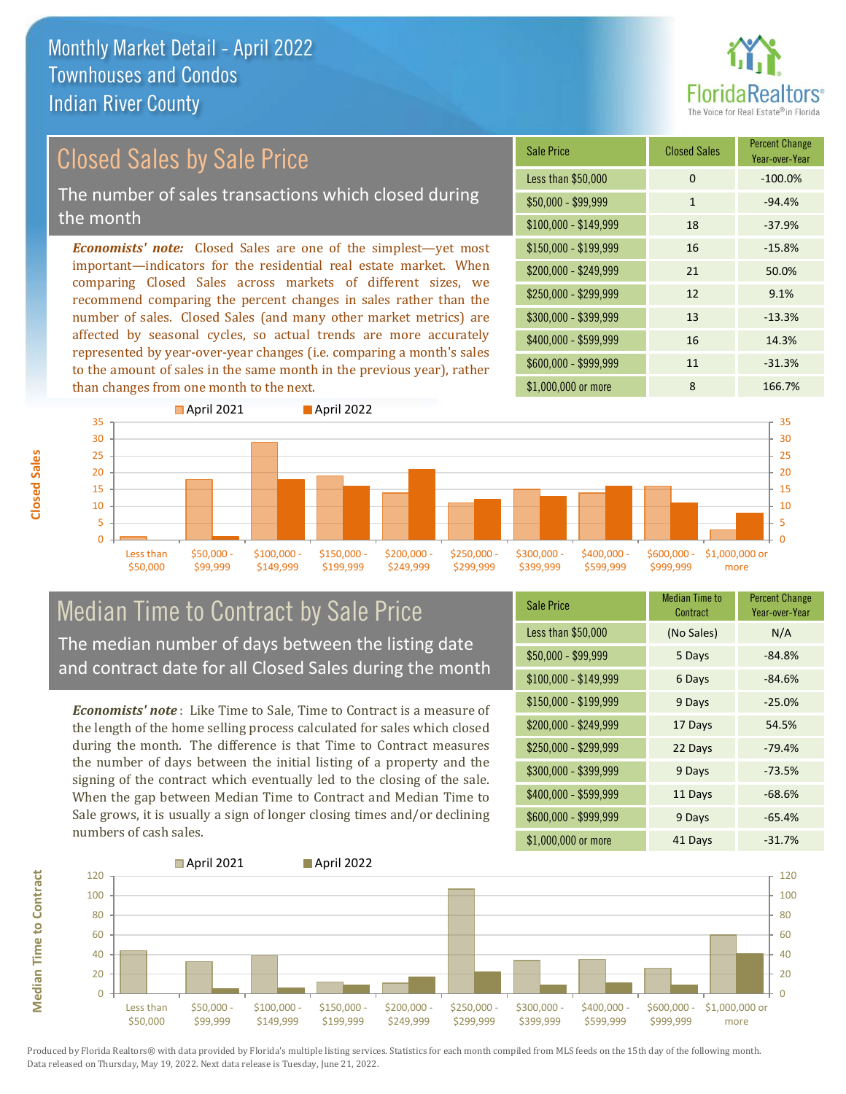

# Closed Sales by Sale Price

The number of sales transactions which closed during the month

*Economists' note:* Closed Sales are one of the simplest—yet most important—indicators for the residential real estate market. When comparing Closed Sales across markets of different sizes, we recommend comparing the percent changes in sales rather than the number of sales. Closed Sales (and many other market metrics) are affected by seasonal cycles, so actual trends are more accurately represented by year-over-year changes (i.e. comparing a month's sales to the amount of sales in the same month in the previous year), rather than changes from one month to the next.

| <b>Sale Price</b>     | <b>Closed Sales</b> | <b>Percent Change</b><br>Year-over-Year |
|-----------------------|---------------------|-----------------------------------------|
| Less than \$50,000    | 0                   | $-100.0%$                               |
| $$50,000 - $99,999$   | $\mathbf{1}$        | $-94.4%$                                |
| \$100,000 - \$149,999 | 18                  | $-37.9%$                                |
| $$150,000 - $199,999$ | 16                  | $-15.8%$                                |
| \$200,000 - \$249,999 | 21                  | 50.0%                                   |
| \$250,000 - \$299,999 | 12                  | 9.1%                                    |
| \$300,000 - \$399,999 | 13                  | $-13.3%$                                |
| \$400,000 - \$599,999 | 16                  | 14.3%                                   |
| \$600,000 - \$999,999 | 11                  | $-31.3%$                                |
| \$1,000,000 or more   | 8                   | 166.7%                                  |



### Median Time to Contract by Sale Price The median number of days between the listing date and contract date for all Closed Sales during the month

*Economists' note* : Like Time to Sale, Time to Contract is a measure of the length of the home selling process calculated for sales which closed during the month. The difference is that Time to Contract measures the number of days between the initial listing of a property and the signing of the contract which eventually led to the closing of the sale. When the gap between Median Time to Contract and Median Time to Sale grows, it is usually a sign of longer closing times and/or declining numbers of cash sales.

| <b>Sale Price</b>     | Median Time to<br>Contract | <b>Percent Change</b><br>Year-over-Year |
|-----------------------|----------------------------|-----------------------------------------|
| Less than \$50,000    | (No Sales)                 | N/A                                     |
| \$50,000 - \$99,999   | 5 Days                     | $-84.8%$                                |
| $$100,000 - $149,999$ | 6 Days                     | $-84.6%$                                |
| \$150,000 - \$199,999 | 9 Days                     | $-25.0%$                                |
| \$200,000 - \$249,999 | 17 Days                    | 54.5%                                   |
| \$250,000 - \$299,999 | 22 Days                    | $-79.4%$                                |
| \$300,000 - \$399,999 | 9 Days                     | $-73.5%$                                |
| \$400,000 - \$599,999 | 11 Days                    | $-68.6%$                                |
| \$600,000 - \$999,999 | 9 Days                     | $-65.4%$                                |
| \$1,000,000 or more   | 41 Days                    | $-31.7%$                                |

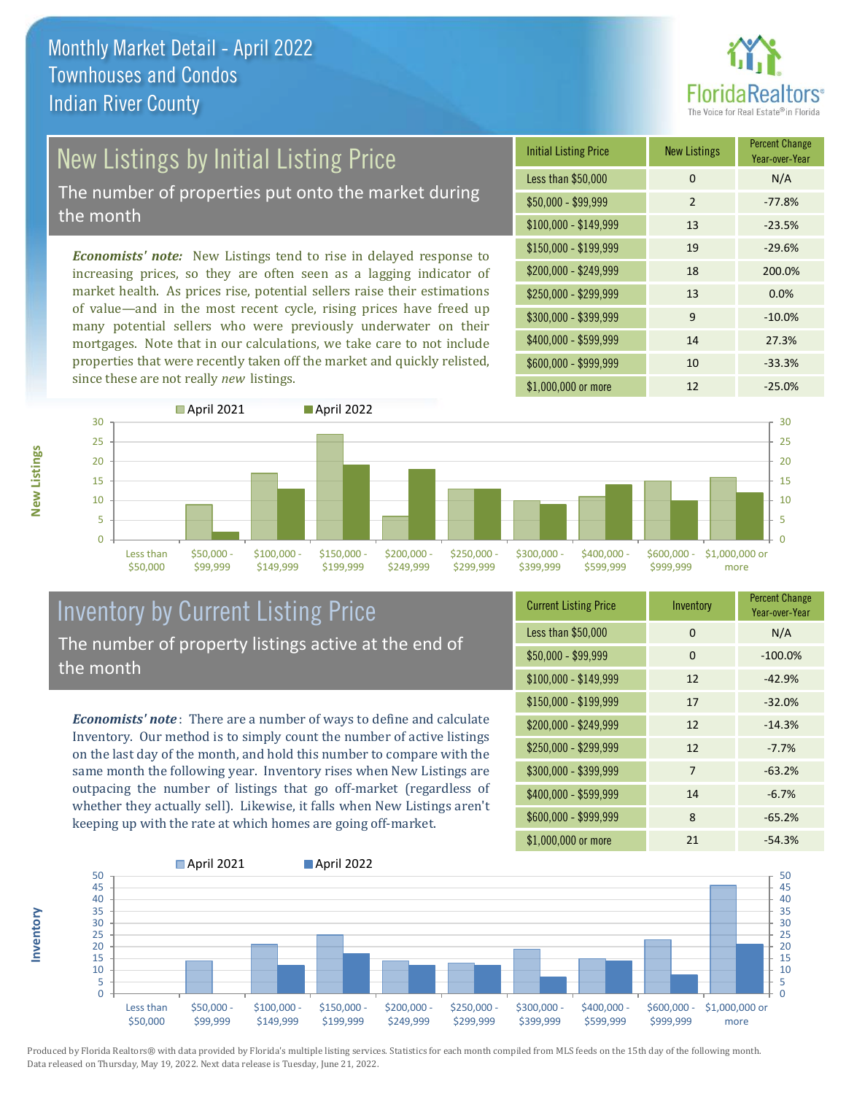

# New Listings by Initial Listing Price

The number of properties put onto the market during the month

*Economists' note:* New Listings tend to rise in delayed response to increasing prices, so they are often seen as a lagging indicator of market health. As prices rise, potential sellers raise their estimations of value—and in the most recent cycle, rising prices have freed up many potential sellers who were previously underwater on their mortgages. Note that in our calculations, we take care to not include properties that were recently taken off the market and quickly relisted, since these are not really *new* listings.





### Inventory by Current Listing Price The number of property listings active at the end of the month

*Economists' note* : There are a number of ways to define and calculate Inventory. Our method is to simply count the number of active listings on the last day of the month, and hold this number to compare with the same month the following year. Inventory rises when New Listings are outpacing the number of listings that go off-market (regardless of whether they actually sell). Likewise, it falls when New Listings aren't keeping up with the rate at which homes are going off-market.

| <b>Current Listing Price</b> | Inventory | <b>Percent Change</b><br>Year-over-Year |
|------------------------------|-----------|-----------------------------------------|
| Less than \$50,000           | $\Omega$  | N/A                                     |
| $$50,000 - $99,999$          | $\Omega$  | $-100.0%$                               |
| $$100,000 - $149,999$        | 12        | $-42.9%$                                |
| $$150,000 - $199,999$        | 17        | $-32.0%$                                |
| \$200,000 - \$249,999        | 12        | $-14.3%$                                |
| \$250,000 - \$299,999        | 12        | $-7.7%$                                 |
| \$300,000 - \$399,999        | 7         | $-63.2%$                                |
| \$400,000 - \$599,999        | 14        | $-6.7%$                                 |
| \$600,000 - \$999,999        | 8         | $-65.2%$                                |
| \$1,000,000 or more          | 21        | $-54.3%$                                |



Produced by Florida Realtors® with data provided by Florida's multiple listing services. Statistics for each month compiled from MLS feeds on the 15th day of the following month. Data released on Thursday, May 19, 2022. Next data release is Tuesday, June 21, 2022.

**Inventory**